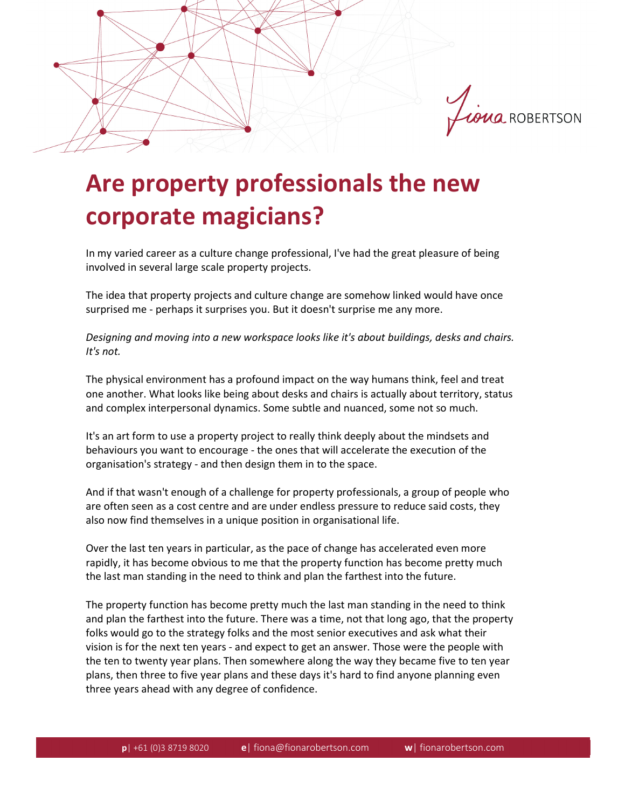

## **Are property professionals the new corporate magicians?**

In my varied career as a culture change professional, I've had the great pleasure of being involved in several large scale property projects.

The idea that property projects and culture change are somehow linked would have once surprised me - perhaps it surprises you. But it doesn't surprise me any more.

*Designing and moving into a new workspace looks like it's about buildings, desks and chairs. It's not.*

The physical environment has a profound impact on the way humans think, feel and treat one another. What looks like being about desks and chairs is actually about territory, status and complex interpersonal dynamics. Some subtle and nuanced, some not so much.

It's an art form to use a property project to really think deeply about the mindsets and behaviours you want to encourage - the ones that will accelerate the execution of the organisation's strategy - and then design them in to the space.

And if that wasn't enough of a challenge for property professionals, a group of people who are often seen as a cost centre and are under endless pressure to reduce said costs, they also now find themselves in a unique position in organisational life.

Over the last ten years in particular, as the pace of change has accelerated even more rapidly, it has become obvious to me that the property function has become pretty much the last man standing in the need to think and plan the farthest into the future.

The property function has become pretty much the last man standing in the need to think and plan the farthest into the future. There was a time, not that long ago, that the property folks would go to the strategy folks and the most senior executives and ask what their vision is for the next ten years - and expect to get an answer. Those were the people with the ten to twenty year plans. Then somewhere along the way they became five to ten year plans, then three to five year plans and these days it's hard to find anyone planning even three years ahead with any degree of confidence.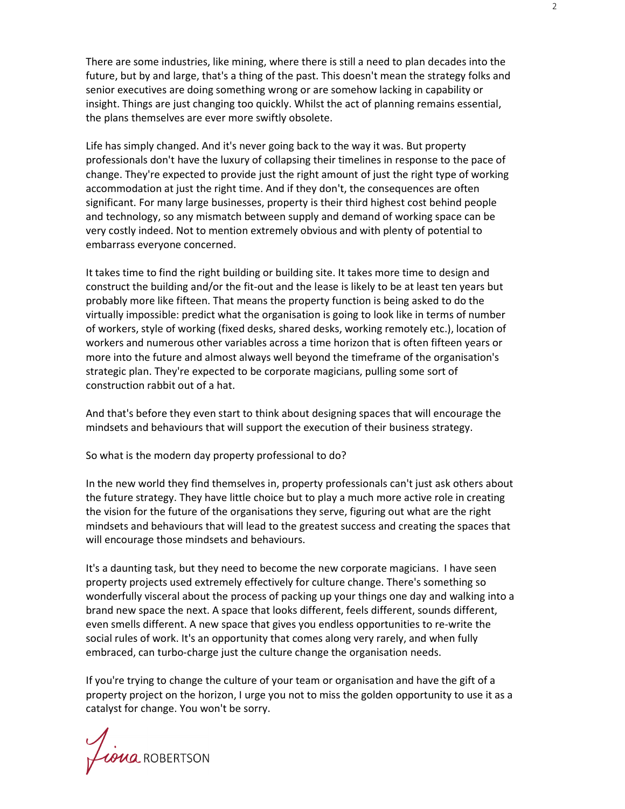There are some industries, like mining, where there is still a need to plan decades into the future, but by and large, that's a thing of the past. This doesn't mean the strategy folks and senior executives are doing something wrong or are somehow lacking in capability or insight. Things are just changing too quickly. Whilst the act of planning remains essential, the plans themselves are ever more swiftly obsolete.

Life has simply changed. And it's never going back to the way it was. But property professionals don't have the luxury of collapsing their timelines in response to the pace of change. They're expected to provide just the right amount of just the right type of working accommodation at just the right time. And if they don't, the consequences are often significant. For many large businesses, property is their third highest cost behind people and technology, so any mismatch between supply and demand of working space can be very costly indeed. Not to mention extremely obvious and with plenty of potential to embarrass everyone concerned.

It takes time to find the right building or building site. It takes more time to design and construct the building and/or the fit-out and the lease is likely to be at least ten years but probably more like fifteen. That means the property function is being asked to do the virtually impossible: predict what the organisation is going to look like in terms of number of workers, style of working (fixed desks, shared desks, working remotely etc.), location of workers and numerous other variables across a time horizon that is often fifteen years or more into the future and almost always well beyond the timeframe of the organisation's strategic plan. They're expected to be corporate magicians, pulling some sort of construction rabbit out of a hat.

And that's before they even start to think about designing spaces that will encourage the mindsets and behaviours that will support the execution of their business strategy.

So what is the modern day property professional to do?

In the new world they find themselves in, property professionals can't just ask others about the future strategy. They have little choice but to play a much more active role in creating the vision for the future of the organisations they serve, figuring out what are the right mindsets and behaviours that will lead to the greatest success and creating the spaces that will encourage those mindsets and behaviours.

It's a daunting task, but they need to become the new corporate magicians. I have seen property projects used extremely effectively for culture change. There's something so wonderfully visceral about the process of packing up your things one day and walking into a brand new space the next. A space that looks different, feels different, sounds different, even smells different. A new space that gives you endless opportunities to re-write the social rules of work. It's an opportunity that comes along very rarely, and when fully embraced, can turbo-charge just the culture change the organisation needs.

If you're trying to change the culture of your team or organisation and have the gift of a property project on the horizon, I urge you not to miss the golden opportunity to use it as a catalyst for change. You won't be sorry.

Liona ROBERTSON